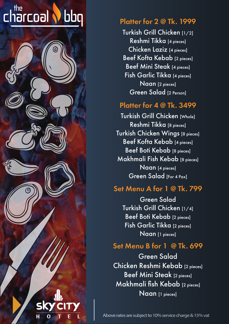#### the charcoal bbq



## Platter for 2 @ Tk. 1999

Turkish Grill Chicken [1/2] Reshmi Tikka [4 pieces] Chicken Laziz [4 pieces] Beef Kofta Kebab [2 pieces] Beef Mini Steak [4 pieces] Fish Garlic Tikka [4 pieces] Naan [2 pieces] Green Salad [2 Person]

#### Platter for 4 @ Tk. 3499

Turkish Grill Chicken [Whole] Reshmi Tikka [8 pieces] Turkish Chicken Wings [8 pieces] Beef Kofta Kebab [4 pieces] Beef Boti Kebab [8 pieces] Makhmali Fish Kebab [8 pieces] Naan [4 pieces] Green Salad [For 4 Pax]

## Set Menu A for 1 @ Tk. 799

Green Salad Turkish Grill Chicken [1/4] Beef Boti Kebab [2 pieces] Fish Garlic Tikka [2 pieces] Naan [1 pieces]

# Set Menu B for 1 @ Tk. 699

Green Salad Chicken Reshmi Kebab [2 pieces] Beef Mini Steak [2 pieces] Makhmali fish Kebab [2 pieces] Naan [1 pieces]